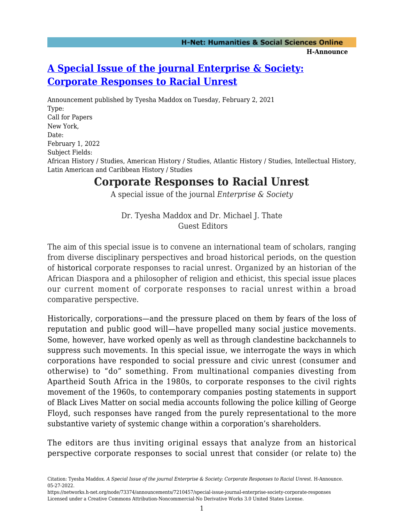## **[A Special Issue of the journal Enterprise & Society:](https://networks.h-net.org/node/73374/announcements/7210457/special-issue-journal-enterprise-society-corporate-responses) [Corporate Responses to Racial Unrest](https://networks.h-net.org/node/73374/announcements/7210457/special-issue-journal-enterprise-society-corporate-responses)**

Announcement published by Tyesha Maddox on Tuesday, February 2, 2021 Type: Call for Papers New York, Date: February 1, 2022 Subject Fields: African History / Studies, American History / Studies, Atlantic History / Studies, Intellectual History, Latin American and Caribbean History / Studies

## **Corporate Responses to Racial Unrest**

A special issue of the journal *Enterprise & Society*

Dr. Tyesha Maddox and Dr. Michael J. Thate Guest Editors

The aim of this special issue is to convene an international team of scholars, ranging from diverse disciplinary perspectives and broad historical periods, on the question of historical corporate responses to racial unrest. Organized by an historian of the African Diaspora and a philosopher of religion and ethicist, this special issue places our current moment of corporate responses to racial unrest within a broad comparative perspective.

Historically, corporations—and the pressure placed on them by fears of the loss of reputation and public good will—have propelled many social justice movements. Some, however, have worked openly as well as through clandestine backchannels to suppress such movements. In this special issue, we interrogate the ways in which corporations have responded to social pressure and civic unrest (consumer and otherwise) to "do" something. From multinational companies divesting from Apartheid South Africa in the 1980s, to corporate responses to the civil rights movement of the 1960s, to contemporary companies posting statements in support of Black Lives Matter on social media accounts following the police killing of George Floyd, such responses have ranged from the purely representational to the more substantive variety of systemic change within a corporation's shareholders.

The editors are thus inviting original essays that analyze from an historical perspective corporate responses to social unrest that consider (or relate to) the

Citation: Tyesha Maddox. *A Special Issue of the journal Enterprise & Society: Corporate Responses to Racial Unrest*. H-Announce. 05-27-2022.

https://networks.h-net.org/node/73374/announcements/7210457/special-issue-journal-enterprise-society-corporate-responses Licensed under a Creative Commons Attribution-Noncommercial-No Derivative Works 3.0 United States License.